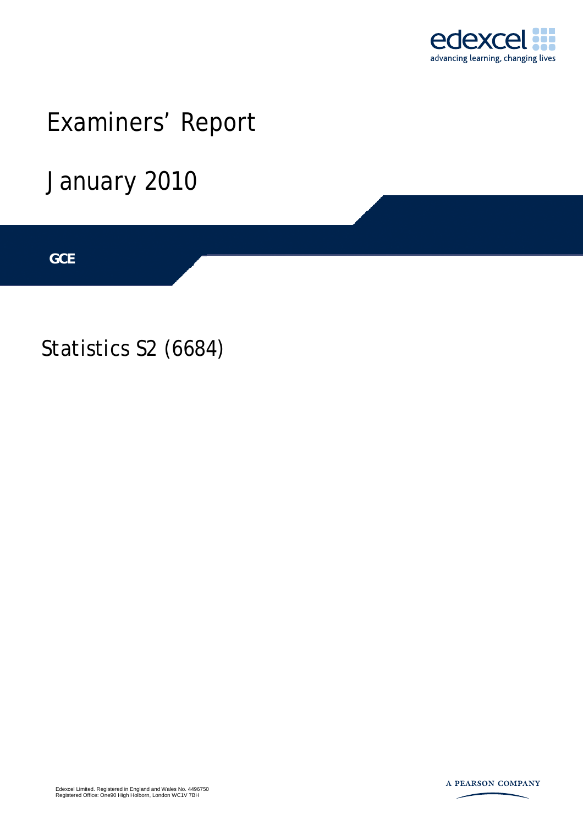

# Examiners' Report

January 2010

**IGCSE GCE** 

Statistics S2 (6684)



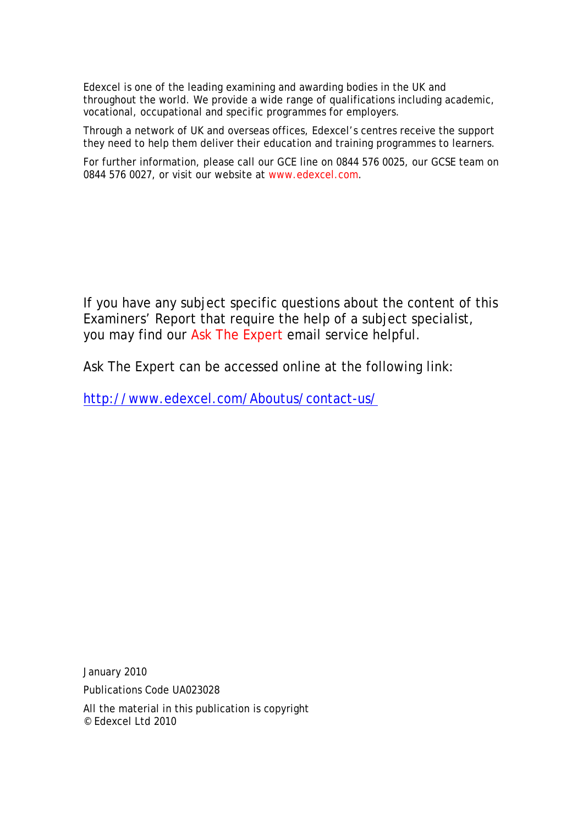Edexcel is one of the leading examining and awarding bodies in the UK and throughout the world. We provide a wide range of qualifications including academic, vocational, occupational and specific programmes for employers.

Through a network of UK and overseas offices, Edexcel's centres receive the support they need to help them deliver their education and training programmes to learners.

For further information, please call our GCE line on 0844 576 0025, our GCSE team on 0844 576 0027, or visit our website at www.edexcel.com.

If you have any subject specific questions about the content of this Examiners' Report that require the help of a subject specialist, you may find our Ask The Expert email service helpful.

Ask The Expert can be accessed online at the following link:

http://www.edexcel.com/Aboutus/contact-us/

January 2010

Publications Code UA023028

All the material in this publication is copyright © Edexcel Ltd 2010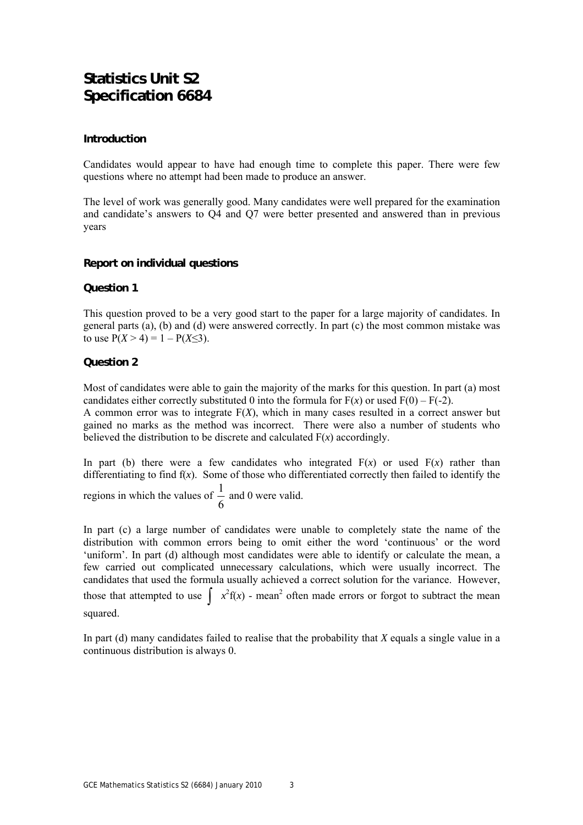### **Statistics Unit S2 Specification 6684**

#### **Introduction**

Candidates would appear to have had enough time to complete this paper. There were few questions where no attempt had been made to produce an answer.

The level of work was generally good. Many candidates were well prepared for the examination and candidate's answers to Q4 and Q7 were better presented and answered than in previous years

#### **Report on individual questions**

#### **Question 1**

This question proved to be a very good start to the paper for a large majority of candidates. In general parts (a), (b) and (d) were answered correctly. In part (c) the most common mistake was to use  $P(X > 4) = 1 - P(X \le 3)$ .

#### **Question 2**

Most of candidates were able to gain the majority of the marks for this question. In part (a) most candidates either correctly substituted 0 into the formula for  $F(x)$  or used  $F(0) - F(-2)$ .

A common error was to integrate F(*X*), which in many cases resulted in a correct answer but gained no marks as the method was incorrect. There were also a number of students who believed the distribution to be discrete and calculated  $F(x)$  accordingly.

In part (b) there were a few candidates who integrated  $F(x)$  or used  $F(x)$  rather than differentiating to find f(*x*). Some of those who differentiated correctly then failed to identify the regions in which the values of  $\frac{1}{2}$ 6 and 0 were valid.

In part (c) a large number of candidates were unable to completely state the name of the distribution with common errors being to omit either the word 'continuous' or the word 'uniform'. In part (d) although most candidates were able to identify or calculate the mean, a few carried out complicated unnecessary calculations, which were usually incorrect. The candidates that used the formula usually achieved a correct solution for the variance. However, those that attempted to use  $\int x^2 f(x)$  - mean<sup>2</sup> often made errors or forgot to subtract the mean squared.

In part (d) many candidates failed to realise that the probability that *X* equals a single value in a continuous distribution is always 0.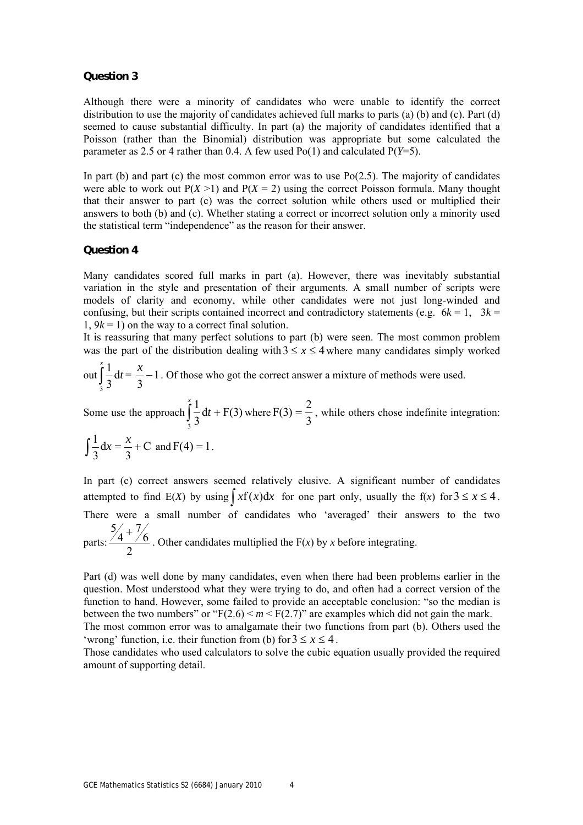#### **Question 3**

Although there were a minority of candidates who were unable to identify the correct distribution to use the majority of candidates achieved full marks to parts (a) (b) and (c). Part (d) seemed to cause substantial difficulty. In part (a) the majority of candidates identified that a Poisson (rather than the Binomial) distribution was appropriate but some calculated the parameter as 2.5 or 4 rather than 0.4. A few used Po(1) and calculated P(*Y*=5).

In part (b) and part (c) the most common error was to use  $Po(2.5)$ . The majority of candidates were able to work out  $P(X > 1)$  and  $P(X = 2)$  using the correct Poisson formula. Many thought that their answer to part (c) was the correct solution while others used or multiplied their answers to both (b) and (c). Whether stating a correct or incorrect solution only a minority used the statistical term "independence" as the reason for their answer.

#### **Question 4**

Many candidates scored full marks in part (a). However, there was inevitably substantial variation in the style and presentation of their arguments. A small number of scripts were models of clarity and economy, while other candidates were not just long-winded and confusing, but their scripts contained incorrect and contradictory statements (e.g.  $6k = 1$ ,  $3k = 1$ 1,  $9k = 1$ ) on the way to a correct final solution.

It is reassuring that many perfect solutions to part (b) were seen. The most common problem was the part of the distribution dealing with  $3 \le x \le 4$  where many candidates simply worked

out 
$$
\int_{3}^{x} \frac{1}{3} dt = \frac{x}{3} - 1
$$
. Of those who got the correct answer a mixture of methods were used.

Some use the approach  $\int_{3}^{x} \frac{1}{3} dt + F(3)$  $\int_{3}^{1} \frac{1}{3} dt +$ *x*  $t + F(3)$  where 3  $F(3) = \frac{2}{3}$ , while others chose indefinite integration:  $\int \frac{1}{3} dx = \frac{x}{3} + C$ d 3  $\frac{1}{2}dx = \frac{x}{2} + C$  and  $F(4) = 1$ .

In part (c) correct answers seemed relatively elusive. A significant number of candidates attempted to find E(*X*) by using  $\int xf(x)dx$  for one part only, usually the  $f(x)$  for  $3 \le x \le 4$ . There were a small number of candidates who 'averaged' their answers to the two  $\frac{5}{4} + \frac{7}{4}$ 

parts: 
$$
\frac{74 + 76}{2}
$$
. Other candidates multiplied the F(x) by x before integrating.

Part (d) was well done by many candidates, even when there had been problems earlier in the question. Most understood what they were trying to do, and often had a correct version of the function to hand. However, some failed to provide an acceptable conclusion: "so the median is between the two numbers" or " $F(2.6) \le m \le F(2.7)$ " are examples which did not gain the mark. The most common error was to amalgamate their two functions from part (b). Others used the 'wrong' function, i.e. their function from (b) for  $3 \le x \le 4$ .

Those candidates who used calculators to solve the cubic equation usually provided the required amount of supporting detail.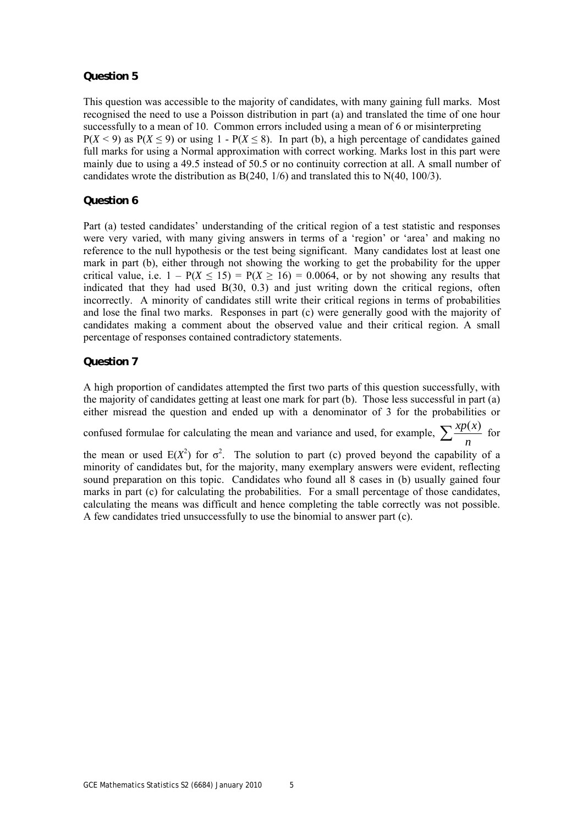#### **Question 5**

This question was accessible to the majority of candidates, with many gaining full marks. Most recognised the need to use a Poisson distribution in part (a) and translated the time of one hour successfully to a mean of 10. Common errors included using a mean of 6 or misinterpreting P( $X$  < 9) as P( $X \le 9$ ) or using 1 - P( $X \le 8$ ). In part (b), a high percentage of candidates gained full marks for using a Normal approximation with correct working. Marks lost in this part were mainly due to using a 49.5 instead of 50.5 or no continuity correction at all. A small number of candidates wrote the distribution as B(240, 1/6) and translated this to N(40, 100/3).

#### **Question 6**

Part (a) tested candidates' understanding of the critical region of a test statistic and responses were very varied, with many giving answers in terms of a 'region' or 'area' and making no reference to the null hypothesis or the test being significant. Many candidates lost at least one mark in part (b), either through not showing the working to get the probability for the upper critical value, i.e.  $1 - P(X \le 15) = P(X \ge 16) = 0.0064$ , or by not showing any results that indicated that they had used B(30, 0.3) and just writing down the critical regions, often incorrectly. A minority of candidates still write their critical regions in terms of probabilities and lose the final two marks. Responses in part (c) were generally good with the majority of candidates making a comment about the observed value and their critical region. A small percentage of responses contained contradictory statements.

#### **Question 7**

A high proportion of candidates attempted the first two parts of this question successfully, with the majority of candidates getting at least one mark for part (b). Those less successful in part (a) either misread the question and ended up with a denominator of 3 for the probabilities or

confused formulae for calculating the mean and variance and used, for example,  $\sum \frac{xp(x)}{n}$  for

the mean or used  $E(X^2)$  for  $\sigma^2$ . The solution to part (c) proved beyond the capability of a minority of candidates but, for the majority, many exemplary answers were evident, reflecting sound preparation on this topic. Candidates who found all 8 cases in (b) usually gained four marks in part (c) for calculating the probabilities. For a small percentage of those candidates, calculating the means was difficult and hence completing the table correctly was not possible. A few candidates tried unsuccessfully to use the binomial to answer part (c).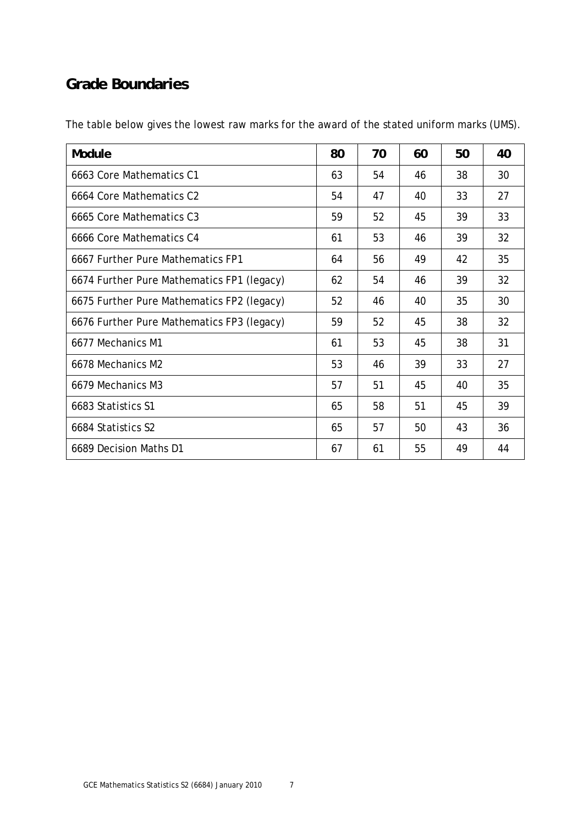## **Grade Boundaries**

| Module                                     | 80 | 70 | 60 | 50 | 40 |
|--------------------------------------------|----|----|----|----|----|
| 6663 Core Mathematics C1                   | 63 | 54 | 46 | 38 | 30 |
| 6664 Core Mathematics C2                   | 54 | 47 | 40 | 33 | 27 |
| 6665 Core Mathematics C3                   | 59 | 52 | 45 | 39 | 33 |
| 6666 Core Mathematics C4                   | 61 | 53 | 46 | 39 | 32 |
| 6667 Further Pure Mathematics FP1          | 64 | 56 | 49 | 42 | 35 |
| 6674 Further Pure Mathematics FP1 (legacy) | 62 | 54 | 46 | 39 | 32 |
| 6675 Further Pure Mathematics FP2 (legacy) | 52 | 46 | 40 | 35 | 30 |
| 6676 Further Pure Mathematics FP3 (legacy) | 59 | 52 | 45 | 38 | 32 |
| 6677 Mechanics M1                          | 61 | 53 | 45 | 38 | 31 |
| 6678 Mechanics M2                          | 53 | 46 | 39 | 33 | 27 |
| 6679 Mechanics M3                          | 57 | 51 | 45 | 40 | 35 |
| 6683 Statistics S1                         | 65 | 58 | 51 | 45 | 39 |
| 6684 Statistics S2                         | 65 | 57 | 50 | 43 | 36 |
| 6689 Decision Maths D1                     | 67 | 61 | 55 | 49 | 44 |

The table below gives the lowest raw marks for the award of the stated uniform marks (UMS).